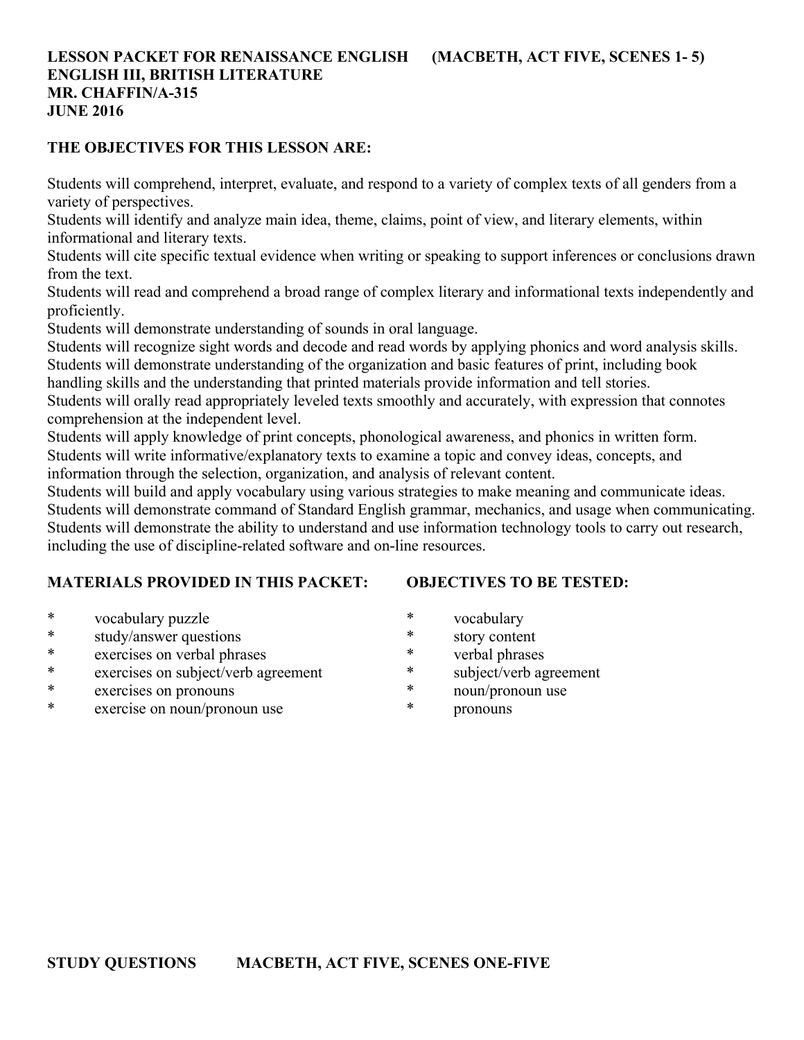# **LESSON PACKET FOR RENAISSANCE ENGLISH (MACBETH, ACT FIVE, SCENES 1- 5) ENGLISH III, BRITISH LITERATURE MR. CHAFFIN/A-315 JUNE 2016**

#### **THE OBJECTIVES FOR THIS LESSON ARE:**

Students will comprehend, interpret, evaluate, and respond to a variety of complex texts of all genders from a variety of perspectives.

Students will identify and analyze main idea, theme, claims, point of view, and literary elements, within informational and literary texts.

Students will cite specific textual evidence when writing or speaking to support inferences or conclusions drawn from the text.

Students will read and comprehend a broad range of complex literary and informational texts independently and proficiently.

Students will demonstrate understanding of sounds in oral language.

Students will recognize sight words and decode and read words by applying phonics and word analysis skills. Students will demonstrate understanding of the organization and basic features of print, including book

handling skills and the understanding that printed materials provide information and tell stories.

Students will orally read appropriately leveled texts smoothly and accurately, with expression that connotes comprehension at the independent level.

Students will apply knowledge of print concepts, phonological awareness, and phonics in written form. Students will write informative/explanatory texts to examine a topic and convey ideas, concepts, and

information through the selection, organization, and analysis of relevant content.

Students will build and apply vocabulary using various strategies to make meaning and communicate ideas. Students will demonstrate command of Standard English grammar, mechanics, and usage when communicating. Students will demonstrate the ability to understand and use information technology tools to carry out research, including the use of discipline-related software and on-line resources.

# **MATERIALS PROVIDED IN THIS PACKET:**

**OBJECTIVES TO BE TESTED:**

- \* vocabulary puzzle
- \* study/answer questions
- \* exercises on verbal phrases
- \* exercises on subject/verb agreement
- \* exercises on pronouns
- \* exercise on noun/pronoun use
- \* vocabulary
- \* story content
- \* verbal phrases
- \* subject/verb agreement
- \* noun/pronoun use
- \* pronouns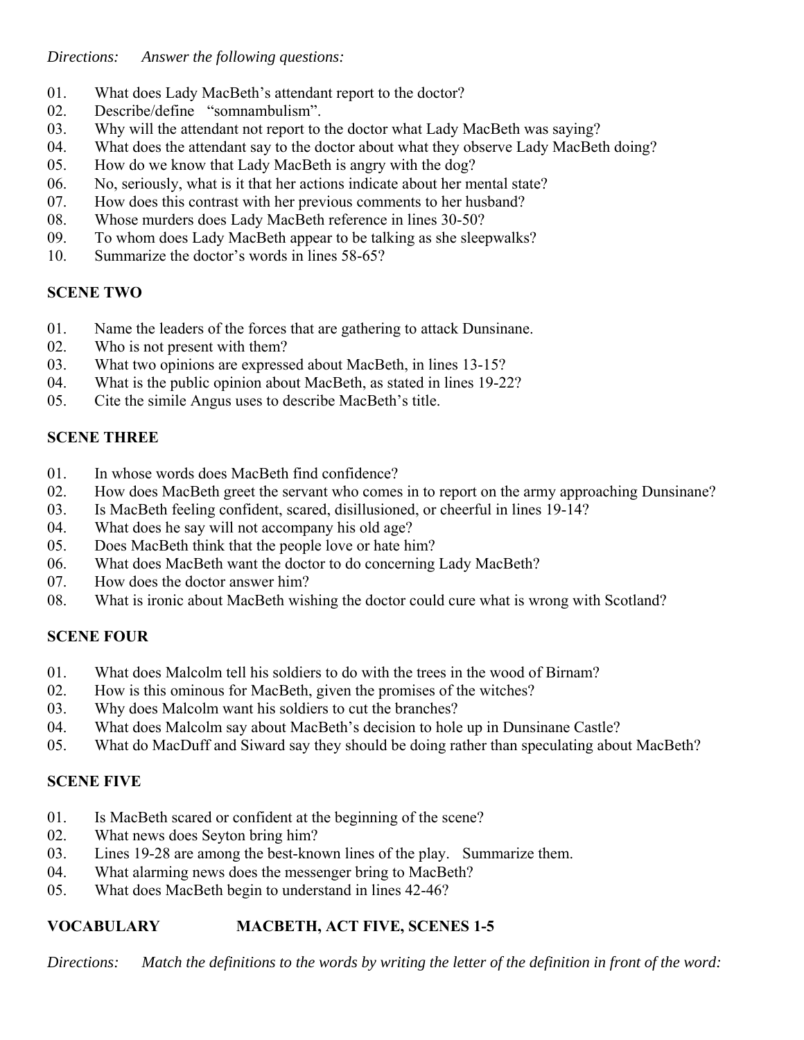*Directions: Answer the following questions:*

- 01. What does Lady MacBeth's attendant report to the doctor?
- 02. Describe/define "somnambulism".
- 03. Why will the attendant not report to the doctor what Lady MacBeth was saying?
- 04. What does the attendant say to the doctor about what they observe Lady MacBeth doing?
- 05. How do we know that Lady MacBeth is angry with the dog?
- 06. No, seriously, what is it that her actions indicate about her mental state?
- 07. How does this contrast with her previous comments to her husband?
- 08. Whose murders does Lady MacBeth reference in lines 30-50?
- 09. To whom does Lady MacBeth appear to be talking as she sleepwalks?
- 10. Summarize the doctor's words in lines 58-65?

# **SCENE TWO**

- 01. Name the leaders of the forces that are gathering to attack Dunsinane.
- 02. Who is not present with them?
- 03. What two opinions are expressed about MacBeth, in lines 13-15?
- 04. What is the public opinion about MacBeth, as stated in lines 19-22?
- 05. Cite the simile Angus uses to describe MacBeth's title.

#### **SCENE THREE**

- 01. In whose words does MacBeth find confidence?
- 02. How does MacBeth greet the servant who comes in to report on the army approaching Dunsinane?
- 03. Is MacBeth feeling confident, scared, disillusioned, or cheerful in lines 19-14?
- 04. What does he say will not accompany his old age?
- 05. Does MacBeth think that the people love or hate him?
- 06. What does MacBeth want the doctor to do concerning Lady MacBeth?
- 07. How does the doctor answer him?
- 08. What is ironic about MacBeth wishing the doctor could cure what is wrong with Scotland?

# **SCENE FOUR**

- 01. What does Malcolm tell his soldiers to do with the trees in the wood of Birnam?
- 02. How is this ominous for MacBeth, given the promises of the witches?
- 03. Why does Malcolm want his soldiers to cut the branches?
- 04. What does Malcolm say about MacBeth's decision to hole up in Dunsinane Castle?
- 05. What do MacDuff and Siward say they should be doing rather than speculating about MacBeth?

# **SCENE FIVE**

- 01. Is MacBeth scared or confident at the beginning of the scene?
- 02. What news does Seyton bring him?
- 03. Lines 19-28 are among the best-known lines of the play. Summarize them.
- 04. What alarming news does the messenger bring to MacBeth?
- 05. What does MacBeth begin to understand in lines 42-46?

# **VOCABULARY MACBETH, ACT FIVE, SCENES 1-5**

*Directions: Match the definitions to the words by writing the letter of the definition in front of the word:*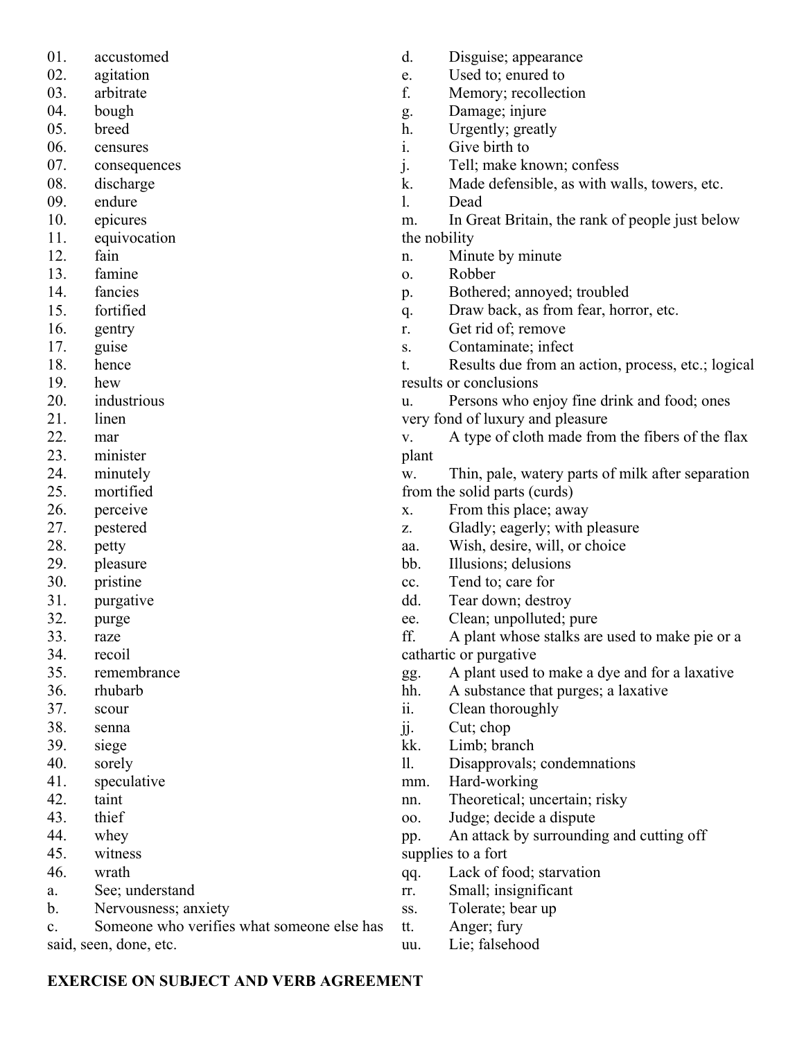- 01. accustomed
- 02. agitation
- 03. arbitrate
- 04. bough
- 05. breed
- 06. censures
- 07. consequences
- 08. discharge
- 09. endure
- 10. epicures
- 11. equivocation
- 12. fain
- 13. famine
- 14. fancies
- 15. fortified
- 16. gentry
- 17. guise
- 18. hence
- 19. hew
- 20. industrious
- 21. linen
- 22. mar
- 23. minister
- 24. minutely
- 25. mortified
- 26. perceive
- 27. pestered
- 28. petty
- 29. pleasure
- 30. pristine
- 31. purgative
- 32. purge
- 33. raze
- 34. recoil
- 35. remembrance
- 36. rhubarb
- 37. scour
- 38. senna
- 39. siege
- 40. sorely
- 41. speculative
- 42. taint
- 43. thief
- 44. whey
- 45. witness
- 46. wrath
- a. See; understand
- b. Nervousness; anxiety

c. Someone who verifies what someone else has said, seen, done, etc.

- d. Disguise; appearance
- e. Used to; enured to
- f. Memory; recollection
- g. Damage; injure
- h. Urgently; greatly
- i. Give birth to
- j. Tell; make known; confess
- k. Made defensible, as with walls, towers, etc.
- l. Dead

m. In Great Britain, the rank of people just below the nobility

- n. Minute by minute
- o. Robber
- p. Bothered; annoyed; troubled
- q. Draw back, as from fear, horror, etc.
- r. Get rid of; remove
- s. Contaminate; infect

t. Results due from an action, process, etc.; logical results or conclusions

u. Persons who enjoy fine drink and food; ones very fond of luxury and pleasure

v. A type of cloth made from the fibers of the flax plant

w. Thin, pale, watery parts of milk after separation from the solid parts (curds)

- x. From this place; away
- z. Gladly; eagerly; with pleasure
- aa. Wish, desire, will, or choice
- bb. Illusions; delusions
- cc. Tend to; care for
- dd. Tear down; destroy
- ee. Clean; unpolluted; pure

ff. A plant whose stalks are used to make pie or a cathartic or purgative

- gg. A plant used to make a dye and for a laxative
- hh. A substance that purges; a laxative
- ii. Clean thoroughly
- jj. Cut; chop
- kk. Limb; branch
- ll. Disapprovals; condemnations
- mm. Hard-working
- nn. Theoretical; uncertain; risky
- oo. Judge; decide a dispute
- pp. An attack by surrounding and cutting off

supplies to a fort

- qq. Lack of food; starvation
- rr. Small; insignificant
- ss. Tolerate; bear up
- tt. Anger; fury
- uu. Lie; falsehood

# **EXERCISE ON SUBJECT AND VERB AGREEMENT**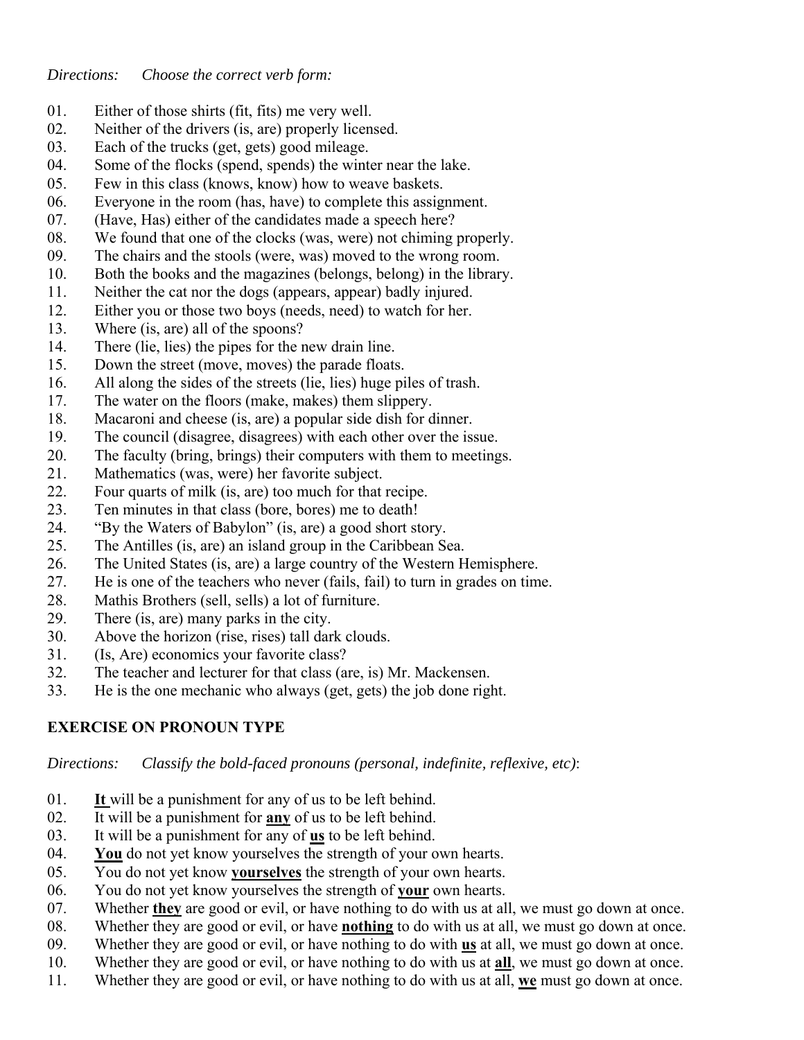- 01. Either of those shirts (fit, fits) me very well.
- 02. Neither of the drivers (is, are) properly licensed.
- 03. Each of the trucks (get, gets) good mileage.
- 04. Some of the flocks (spend, spends) the winter near the lake.
- 05. Few in this class (knows, know) how to weave baskets.
- 06. Everyone in the room (has, have) to complete this assignment.
- 07. (Have, Has) either of the candidates made a speech here?
- 08. We found that one of the clocks (was, were) not chiming properly.
- 09. The chairs and the stools (were, was) moved to the wrong room.
- 10. Both the books and the magazines (belongs, belong) in the library.
- 11. Neither the cat nor the dogs (appears, appear) badly injured.
- 12. Either you or those two boys (needs, need) to watch for her.
- 13. Where (is, are) all of the spoons?
- 14. There (lie, lies) the pipes for the new drain line.
- 15. Down the street (move, moves) the parade floats.
- 16. All along the sides of the streets (lie, lies) huge piles of trash.
- 17. The water on the floors (make, makes) them slippery.
- 18. Macaroni and cheese (is, are) a popular side dish for dinner.
- 19. The council (disagree, disagrees) with each other over the issue.
- 20. The faculty (bring, brings) their computers with them to meetings.
- 21. Mathematics (was, were) her favorite subject.
- 22. Four quarts of milk (is, are) too much for that recipe.
- 23. Ten minutes in that class (bore, bores) me to death!
- 24. "By the Waters of Babylon" (is, are) a good short story.
- 25. The Antilles (is, are) an island group in the Caribbean Sea.
- 26. The United States (is, are) a large country of the Western Hemisphere.
- 27. He is one of the teachers who never (fails, fail) to turn in grades on time.
- 28. Mathis Brothers (sell, sells) a lot of furniture.
- 29. There (is, are) many parks in the city.
- 30. Above the horizon (rise, rises) tall dark clouds.
- 31. (Is, Are) economics your favorite class?
- 32. The teacher and lecturer for that class (are, is) Mr. Mackensen.
- 33. He is the one mechanic who always (get, gets) the job done right.

# **EXERCISE ON PRONOUN TYPE**

*Directions: Classify the bold-faced pronouns (personal, indefinite, reflexive, etc)*:

- 01. **It** will be a punishment for any of us to be left behind.
- 02. It will be a punishment for **any** of us to be left behind.
- 03. It will be a punishment for any of **us** to be left behind.
- 04. **You** do not yet know yourselves the strength of your own hearts.
- 05. You do not yet know **yourselves** the strength of your own hearts.
- 06. You do not yet know yourselves the strength of **your** own hearts.
- 07. Whether **they** are good or evil, or have nothing to do with us at all, we must go down at once.
- 08. Whether they are good or evil, or have **nothing** to do with us at all, we must go down at once.
- 09. Whether they are good or evil, or have nothing to do with **us** at all, we must go down at once.
- 10. Whether they are good or evil, or have nothing to do with us at **all**, we must go down at once.
- 11. Whether they are good or evil, or have nothing to do with us at all, **we** must go down at once.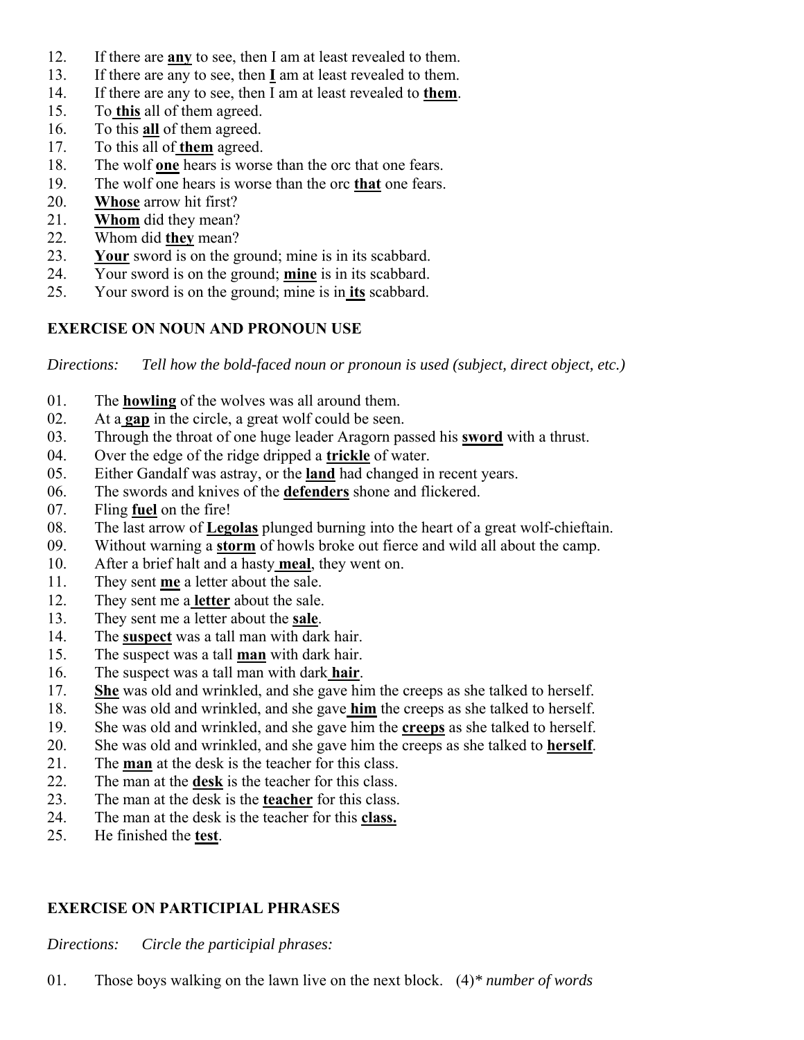- 12. If there are **any** to see, then I am at least revealed to them.
- 13. If there are any to see, then **I** am at least revealed to them.
- 14. If there are any to see, then I am at least revealed to **them**.
- 15. To **this** all of them agreed.
- 16. To this **all** of them agreed.
- 17. To this all of **them** agreed.
- 18. The wolf **one** hears is worse than the orc that one fears.
- 19. The wolf one hears is worse than the orc **that** one fears.
- 20. **Whose** arrow hit first?
- 21. **Whom** did they mean?
- 22. Whom did **they** mean?
- 23. **Your** sword is on the ground; mine is in its scabbard.
- 24. Your sword is on the ground; **mine** is in its scabbard.
- 25. Your sword is on the ground; mine is in **its** scabbard.

# **EXERCISE ON NOUN AND PRONOUN USE**

*Directions: Tell how the bold-faced noun or pronoun is used (subject, direct object, etc.)*

- 01. The **howling** of the wolves was all around them.
- 02. At a **gap** in the circle, a great wolf could be seen.
- 03. Through the throat of one huge leader Aragorn passed his **sword** with a thrust.
- 04. Over the edge of the ridge dripped a **trickle** of water.
- 05. Either Gandalf was astray, or the **land** had changed in recent years.
- 06. The swords and knives of the **defenders** shone and flickered.
- 07. Fling **fuel** on the fire!
- 08. The last arrow of **Legolas** plunged burning into the heart of a great wolf-chieftain.
- 09. Without warning a **storm** of howls broke out fierce and wild all about the camp.
- 10. After a brief halt and a hasty **meal**, they went on.
- 11. They sent **me** a letter about the sale.
- 12. They sent me a **letter** about the sale.
- 13. They sent me a letter about the **sale**.
- 14. The **suspect** was a tall man with dark hair.
- 15. The suspect was a tall **man** with dark hair.
- 16. The suspect was a tall man with dark **hair**.
- 17. **She** was old and wrinkled, and she gave him the creeps as she talked to herself.
- 18. She was old and wrinkled, and she gave **him** the creeps as she talked to herself.
- 19. She was old and wrinkled, and she gave him the **creeps** as she talked to herself.
- 20. She was old and wrinkled, and she gave him the creeps as she talked to **herself**.
- 21. The **man** at the desk is the teacher for this class.
- 22. The man at the **desk** is the teacher for this class.
- 23. The man at the desk is the **teacher** for this class.
- 24. The man at the desk is the teacher for this **class.**
- 25. He finished the **test**.

#### **EXERCISE ON PARTICIPIAL PHRASES**

*Directions: Circle the participial phrases:*

01. Those boys walking on the lawn live on the next block. (4)*\* number of words*